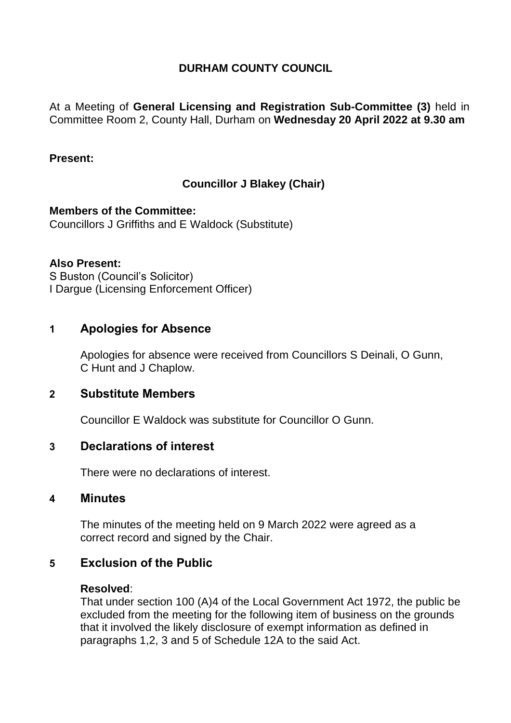## **DURHAM COUNTY COUNCIL**

At a Meeting of **General Licensing and Registration Sub-Committee (3)** held in Committee Room 2, County Hall, Durham on **Wednesday 20 April 2022 at 9.30 am**

### **Present:**

## **Councillor J Blakey (Chair)**

**Members of the Committee:** Councillors J Griffiths and E Waldock (Substitute)

#### **Also Present:**

S Buston (Council's Solicitor) I Dargue (Licensing Enforcement Officer)

## **1 Apologies for Absence**

Apologies for absence were received from Councillors S Deinali, O Gunn, C Hunt and J Chaplow.

### **2 Substitute Members**

Councillor E Waldock was substitute for Councillor O Gunn.

### **3 Declarations of interest**

There were no declarations of interest.

#### **4 Minutes**

The minutes of the meeting held on 9 March 2022 were agreed as a correct record and signed by the Chair.

## **5 Exclusion of the Public**

#### **Resolved**:

That under section 100 (A)4 of the Local Government Act 1972, the public be excluded from the meeting for the following item of business on the grounds that it involved the likely disclosure of exempt information as defined in paragraphs 1,2, 3 and 5 of Schedule 12A to the said Act.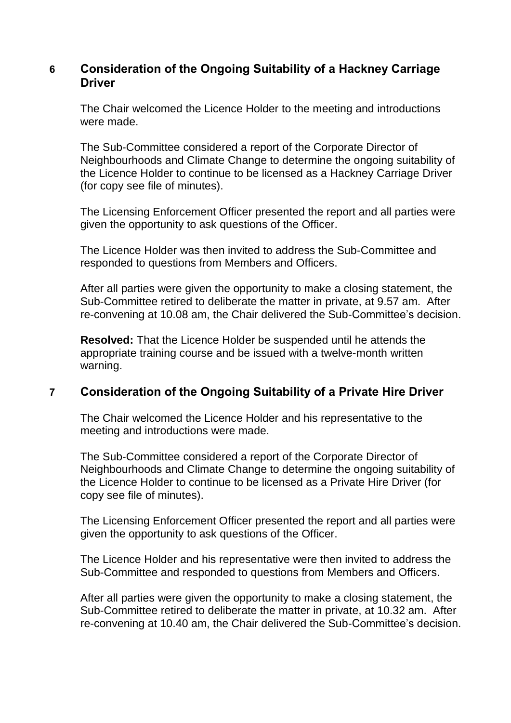# **6 Consideration of the Ongoing Suitability of a Hackney Carriage Driver**

The Chair welcomed the Licence Holder to the meeting and introductions were made.

The Sub-Committee considered a report of the Corporate Director of Neighbourhoods and Climate Change to determine the ongoing suitability of the Licence Holder to continue to be licensed as a Hackney Carriage Driver (for copy see file of minutes).

The Licensing Enforcement Officer presented the report and all parties were given the opportunity to ask questions of the Officer.

The Licence Holder was then invited to address the Sub-Committee and responded to questions from Members and Officers.

After all parties were given the opportunity to make a closing statement, the Sub-Committee retired to deliberate the matter in private, at 9.57 am. After re-convening at 10.08 am, the Chair delivered the Sub-Committee's decision.

**Resolved:** That the Licence Holder be suspended until he attends the appropriate training course and be issued with a twelve-month written warning.

# **7 Consideration of the Ongoing Suitability of a Private Hire Driver**

The Chair welcomed the Licence Holder and his representative to the meeting and introductions were made.

The Sub-Committee considered a report of the Corporate Director of Neighbourhoods and Climate Change to determine the ongoing suitability of the Licence Holder to continue to be licensed as a Private Hire Driver (for copy see file of minutes).

The Licensing Enforcement Officer presented the report and all parties were given the opportunity to ask questions of the Officer.

The Licence Holder and his representative were then invited to address the Sub-Committee and responded to questions from Members and Officers.

After all parties were given the opportunity to make a closing statement, the Sub-Committee retired to deliberate the matter in private, at 10.32 am. After re-convening at 10.40 am, the Chair delivered the Sub-Committee's decision.